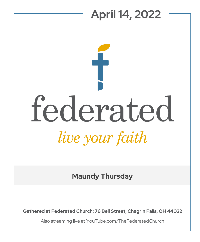# **April 14, 2022** federated live your faith

**Maundy Thursday**

**Gathered at Federated Church: 76 Bell Street, Chagrin Falls, OH 44022**

Also streaming live at YouTube.com/TheFederatedChurch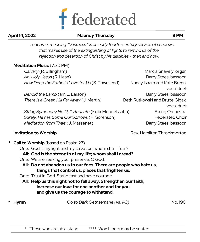

### **April 14, 2022 Maundy Thursday 8 PM**

*Tenebrae, meaning "Darkness," is an early fourth-century service of shadows that makes use of the extinguishing of lights to remind us of the rejection and desertion of Christ by his disciples - then and now.*

## **Meditation Music** (7:30 PM) *Calvary* (R. Billingham) Marcia Snavely, organ Ah! Holy Jesus (R. Haan) **Barry Stees, bassoon** *How Deep the Father's Love for Us* (S. Townsend) Nancy Isham and Kate Breen, vocal duet *Behold the Lamb* (arr. L. Larson) Barry Stees, bassoon *There Is a Green Hill Far Away* (J. Martin) Beth Rutkowski and Bruce Gigax, vocal duet *String Symphony No.12, II. Andante* (Felix Mendelssohn) String Orchestra Surely, He has Borne Our Sorrows (H. Sorenson) Federated Choir *Meditation from Thaïs* (J. Massenet) Barry Stees, bassoon **Invitation to Worship Invitation to Worship Rev.** Hamilton Throckmorton

**Call to Worship** (based on Psalm 27)

One: God is my light and my salvation; whom shall I fear?

### **All: God is the strength of my life; whom shall I dread?**

- One: We are seeking your presence, O God.
	- **All: Do not abandon us to our foes. There are people who hate us, things that control us, places that frighten us.**

One: Trust in God. Stand fast and have courage.

 **All: Help us this night not to fall away. Strengthen our faith, increase our love for one another and for you, and give us the courage to withstand.** 

**\* Hymn** *Go to Dark Gethsemane (vs. 1-3)* No. 196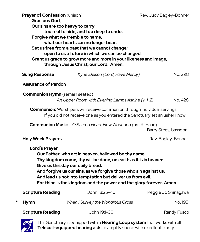|                            | Prayer of Confession (unison)<br>Gracious God,<br>Our sins are too heavy to carry,<br>too real to hide, and too deep to undo.<br>Forgive what we tremble to name,<br>what our hearts can no longer bear.<br>Set us free from a past that we cannot change;<br>open to us a future in which we can be changed.<br>Grant us grace to grow more and more in your likeness and image,<br>through Jesus Christ, our Lord. Amen. |                                                                  | Rev. Judy Bagley-Bonner |
|----------------------------|----------------------------------------------------------------------------------------------------------------------------------------------------------------------------------------------------------------------------------------------------------------------------------------------------------------------------------------------------------------------------------------------------------------------------|------------------------------------------------------------------|-------------------------|
|                            | <b>Sung Response</b>                                                                                                                                                                                                                                                                                                                                                                                                       | Kyrie Eleison (Lord, Have Mercy)                                 | No. 298.                |
| <b>Assurance of Pardon</b> |                                                                                                                                                                                                                                                                                                                                                                                                                            |                                                                  |                         |
|                            | <b>Communion Hymn</b> (remain seated)<br>An Upper Room with Evening Lamps Ashine (v. 1, 2)<br>No. 428                                                                                                                                                                                                                                                                                                                      |                                                                  |                         |
|                            | <b>Communion:</b> Worshipers will receive communion through individual servings.<br>If you did not receive one as you entered the Sanctuary, let an usher know.                                                                                                                                                                                                                                                            |                                                                  |                         |
|                            |                                                                                                                                                                                                                                                                                                                                                                                                                            | <b>Communion Music</b> O Sacred Head, Now Wounded (arr. R. Haan) | Barry Stees, bassoon    |
|                            | <b>Holy Week Prayers</b>                                                                                                                                                                                                                                                                                                                                                                                                   |                                                                  | Rev. Bagley-Bonner      |
|                            | <b>Lord's Prayer</b><br>Our Father, who art in heaven, hallowed be thy name.<br>Thy kingdom come, thy will be done, on earth as it is in heaven.<br>Give us this day our daily bread.<br>And forgive us our sins, as we forgive those who sin against us.<br>And lead us not into temptation but deliver us from evil.<br>For thine is the kingdom and the power and the glory forever. Amen.                              |                                                                  |                         |
|                            | <b>Scripture Reading</b>                                                                                                                                                                                                                                                                                                                                                                                                   | John 18:25-40                                                    | Peggie Jo Shinagawa     |
| *                          | <b>Hymn</b>                                                                                                                                                                                                                                                                                                                                                                                                                | When I Survey the Wondrous Cross                                 | No. 195                 |
|                            | <b>Scripture Reading</b>                                                                                                                                                                                                                                                                                                                                                                                                   | John 19:1-30                                                     | Randy Fusco             |

This Sanctuary is equipped with a **Hearing Loop system** that works with all **Telecoil-equipped hearing aids** to amplify sound with excellent clarity.